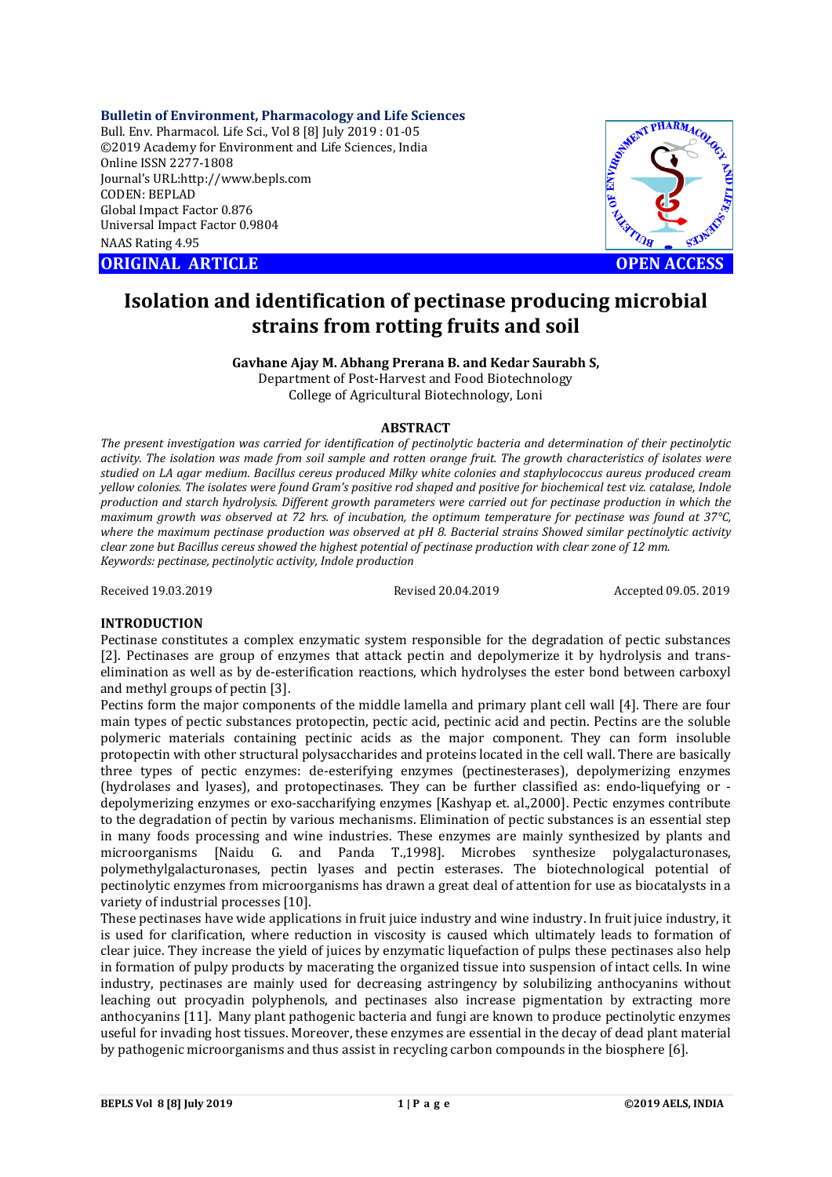**Bulletin of Environment, Pharmacology and Life Sciences**

Bull. Env. Pharmacol. Life Sci., Vol 8 [8] July 2019 : 01-05 ©2019 Academy for Environment and Life Sciences, India Online ISSN 2277-1808 Journal's URL:http://www.bepls.com CODEN: BEPLAD Global Impact Factor 0.876 Universal Impact Factor 0.9804 NAAS Rating 4.95

**ORIGINAL ARTICLE OPEN ACCESS** 



# **Isolation and identification of pectinase producing microbial strains from rotting fruits and soil**

**Gavhane Ajay M. Abhang Prerana B. and Kedar Saurabh S,**

Department of Post-Harvest and Food Biotechnology College of Agricultural Biotechnology, Loni

#### **ABSTRACT**

*The present investigation was carried for identification of pectinolytic bacteria and determination of their pectinolytic activity. The isolation was made from soil sample and rotten orange fruit. The growth characteristics of isolates were studied on LA agar medium. Bacillus cereus produced Milky white colonies and staphylococcus aureus produced cream yellow colonies. The isolates were found Gram's positive rod shaped and positive for biochemical test viz. catalase, Indole production and starch hydrolysis. Different growth parameters were carried out for pectinase production in which the maximum growth was observed at 72 hrs. of incubation, the optimum temperature for pectinase was found at 37°C, where the maximum pectinase production was observed at pH 8. Bacterial strains Showed similar pectinolytic activity clear zone but Bacillus cereus showed the highest potential of pectinase production with clear zone of 12 mm. Keywords: pectinase, pectinolytic activity, Indole production*

Received 19.03.2019 Revised 20.04.2019 Accepted 09.05. 2019

#### **INTRODUCTION**

Pectinase constitutes a complex enzymatic system responsible for the degradation of pectic substances [2]. Pectinases are group of enzymes that attack pectin and depolymerize it by hydrolysis and transelimination as well as by de-esterification reactions, which hydrolyses the ester bond between carboxyl and methyl groups of pectin [3].

Pectins form the major components of the middle lamella and primary plant cell wall [4]. There are four main types of pectic substances protopectin, pectic acid, pectinic acid and pectin. Pectins are the soluble polymeric materials containing pectinic acids as the major component. They can form insoluble protopectin with other structural polysaccharides and proteins located in the cell wall. There are basically three types of pectic enzymes: de-esterifying enzymes (pectinesterases), depolymerizing enzymes (hydrolases and lyases), and protopectinases. They can be further classified as: endo-liquefying or depolymerizing enzymes or exo-saccharifying enzymes [Kashyap et. al.,2000]. Pectic enzymes contribute to the degradation of pectin by various mechanisms. Elimination of pectic substances is an essential step in many foods processing and wine industries. These enzymes are mainly synthesized by plants and microorganisms [Naidu G. and Panda T.,1998]. Microbes synthesize polygalacturonases, polymethylgalacturonases, pectin lyases and pectin esterases. The biotechnological potential of pectinolytic enzymes from microorganisms has drawn a great deal of attention for use as biocatalysts in a variety of industrial processes [10].

These pectinases have wide applications in fruit juice industry and wine industry. In fruit juice industry, it is used for clarification, where reduction in viscosity is caused which ultimately leads to formation of clear juice. They increase the yield of juices by enzymatic liquefaction of pulps these pectinases also help in formation of pulpy products by macerating the organized tissue into suspension of intact cells. In wine industry, pectinases are mainly used for decreasing astringency by solubilizing anthocyanins without leaching out procyadin polyphenols, and pectinases also increase pigmentation by extracting more anthocyanins [11]. Many plant pathogenic bacteria and fungi are known to produce pectinolytic enzymes useful for invading host tissues. Moreover, these enzymes are essential in the decay of dead plant material by pathogenic microorganisms and thus assist in recycling carbon compounds in the biosphere [6].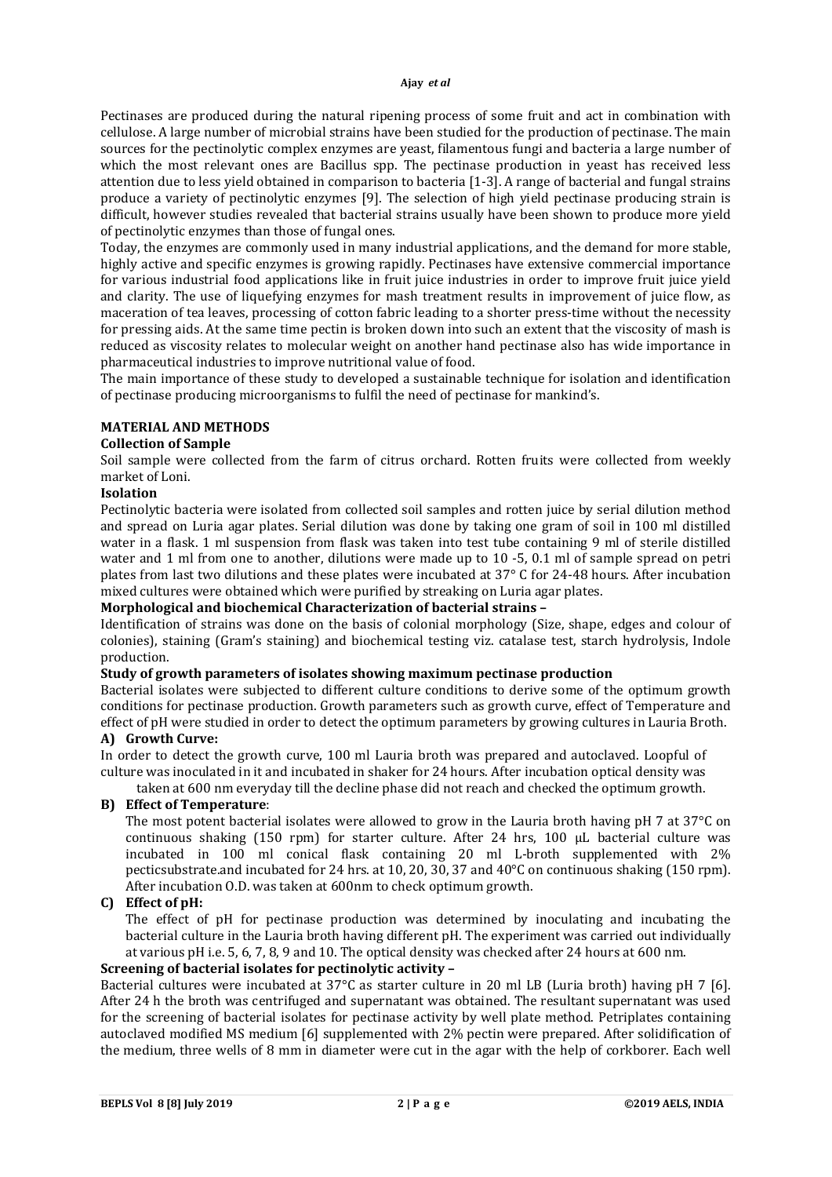Pectinases are produced during the natural ripening process of some fruit and act in combination with cellulose. A large number of microbial strains have been studied for the production of pectinase. The main sources for the pectinolytic complex enzymes are yeast, filamentous fungi and bacteria a large number of which the most relevant ones are Bacillus spp. The pectinase production in yeast has received less attention due to less yield obtained in comparison to bacteria [1-3]. A range of bacterial and fungal strains produce a variety of pectinolytic enzymes [9]. The selection of high yield pectinase producing strain is difficult, however studies revealed that bacterial strains usually have been shown to produce more yield of pectinolytic enzymes than those of fungal ones.

Today, the enzymes are commonly used in many industrial applications, and the demand for more stable, highly active and specific enzymes is growing rapidly. Pectinases have extensive commercial importance for various industrial food applications like in fruit juice industries in order to improve fruit juice yield and clarity. The use of liquefying enzymes for mash treatment results in improvement of juice flow, as maceration of tea leaves, processing of cotton fabric leading to a shorter press-time without the necessity for pressing aids. At the same time pectin is broken down into such an extent that the viscosity of mash is reduced as viscosity relates to molecular weight on another hand pectinase also has wide importance in pharmaceutical industries to improve nutritional value of food.

The main importance of these study to developed a sustainable technique for isolation and identification of pectinase producing microorganisms to fulfil the need of pectinase for mankind's.

#### **MATERIAL AND METHODS**

#### **Collection of Sample**

Soil sample were collected from the farm of citrus orchard. Rotten fruits were collected from weekly market of Loni.

#### **Isolation**

Pectinolytic bacteria were isolated from collected soil samples and rotten juice by serial dilution method and spread on Luria agar plates. Serial dilution was done by taking one gram of soil in 100 ml distilled water in a flask. 1 ml suspension from flask was taken into test tube containing 9 ml of sterile distilled water and 1 ml from one to another, dilutions were made up to 10 -5, 0.1 ml of sample spread on petri plates from last two dilutions and these plates were incubated at 37° C for 24-48 hours. After incubation mixed cultures were obtained which were purified by streaking on Luria agar plates.

#### **Morphological and biochemical Characterization of bacterial strains –**

Identification of strains was done on the basis of colonial morphology (Size, shape, edges and colour of colonies), staining (Gram's staining) and biochemical testing viz. catalase test, starch hydrolysis, Indole production.

#### **Study of growth parameters of isolates showing maximum pectinase production**

Bacterial isolates were subjected to different culture conditions to derive some of the optimum growth conditions for pectinase production. Growth parameters such as growth curve, effect of Temperature and effect of pH were studied in order to detect the optimum parameters by growing cultures in Lauria Broth.

## **A) Growth Curve:**

In order to detect the growth curve, 100 ml Lauria broth was prepared and autoclaved. Loopful of culture was inoculated in it and incubated in shaker for 24 hours. After incubation optical density was

taken at 600 nm everyday till the decline phase did not reach and checked the optimum growth.

#### **B) Effect of Temperature**:

The most potent bacterial isolates were allowed to grow in the Lauria broth having pH 7 at  $37^{\circ}$ C on continuous shaking (150 rpm) for starter culture. After 24 hrs, 100 μL bacterial culture was incubated in 100 ml conical flask containing 20 ml L-broth supplemented with 2% pecticsubstrate.and incubated for 24 hrs. at 10, 20, 30, 37 and 40°C on continuous shaking (150 rpm). After incubation O.D. was taken at 600nm to check optimum growth.

### **C) Effect of pH:**

The effect of pH for pectinase production was determined by inoculating and incubating the bacterial culture in the Lauria broth having different pH. The experiment was carried out individually at various pH i.e. 5, 6, 7, 8, 9 and 10. The optical density was checked after 24 hours at 600 nm.

#### **Screening of bacterial isolates for pectinolytic activity –**

Bacterial cultures were incubated at 37°C as starter culture in 20 ml LB (Luria broth) having pH 7 [6]. After 24 h the broth was centrifuged and supernatant was obtained. The resultant supernatant was used for the screening of bacterial isolates for pectinase activity by well plate method. Petriplates containing autoclaved modified MS medium [6] supplemented with 2% pectin were prepared. After solidification of the medium, three wells of 8 mm in diameter were cut in the agar with the help of corkborer. Each well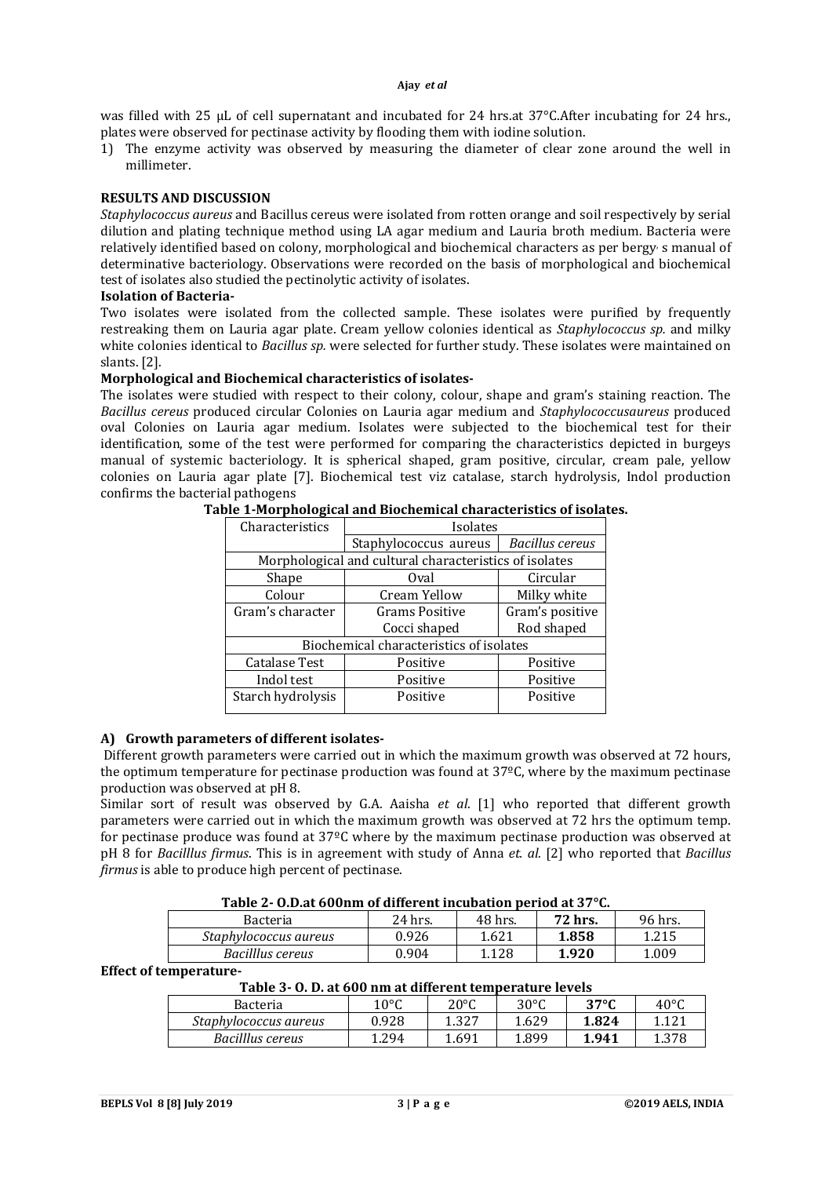was filled with 25 μL of cell supernatant and incubated for 24 hrs.at 37°C.After incubating for 24 hrs., plates were observed for pectinase activity by flooding them with iodine solution.

1) The enzyme activity was observed by measuring the diameter of clear zone around the well in millimeter.

#### **RESULTS AND DISCUSSION**

*Staphylococcus aureus* and Bacillus cereus were isolated from rotten orange and soil respectively by serial dilution and plating technique method using LA agar medium and Lauria broth medium. Bacteria were relatively identified based on colony, morphological and biochemical characters as per bergy, s manual of determinative bacteriology. Observations were recorded on the basis of morphological and biochemical test of isolates also studied the pectinolytic activity of isolates.

#### **Isolation of Bacteria-**

Two isolates were isolated from the collected sample. These isolates were purified by frequently restreaking them on Lauria agar plate. Cream yellow colonies identical as *Staphylococcus sp.* and milky white colonies identical to *Bacillus sp.* were selected for further study. These isolates were maintained on slants. [2].

#### **Morphological and Biochemical characteristics of isolates-**

The isolates were studied with respect to their colony, colour, shape and gram's staining reaction. The *Bacillus cereus* produced circular Colonies on Lauria agar medium and *Staphylococcusaureus* produced oval Colonies on Lauria agar medium. Isolates were subjected to the biochemical test for their identification, some of the test were performed for comparing the characteristics depicted in burgeys manual of systemic bacteriology. It is spherical shaped, gram positive, circular, cream pale, yellow colonies on Lauria agar plate [7]. Biochemical test viz catalase, starch hydrolysis, Indol production confirms the bacterial pathogens

| Characteristics                                        | Isolates              |                        |  |  |  |  |
|--------------------------------------------------------|-----------------------|------------------------|--|--|--|--|
|                                                        | Staphylococcus aureus | <b>Bacillus cereus</b> |  |  |  |  |
| Morphological and cultural characteristics of isolates |                       |                        |  |  |  |  |
| Shape                                                  | Oval                  | Circular               |  |  |  |  |
| Colour                                                 | Cream Yellow          | Milky white            |  |  |  |  |
| Gram's character                                       | <b>Grams Positive</b> | Gram's positive        |  |  |  |  |
|                                                        | Cocci shaped          | Rod shaped             |  |  |  |  |
| Biochemical characteristics of isolates                |                       |                        |  |  |  |  |
| <b>Catalase Test</b>                                   | Positive              | Positive               |  |  |  |  |
| Indol test                                             | Positive              | Positive               |  |  |  |  |
| Starch hydrolysis                                      | Positive              | Positive               |  |  |  |  |
|                                                        |                       |                        |  |  |  |  |

**Table 1-Morphological and Biochemical characteristics of isolates.**

## **A) Growth parameters of different isolates-**

Different growth parameters were carried out in which the maximum growth was observed at 72 hours, the optimum temperature for pectinase production was found at 37ºC, where by the maximum pectinase production was observed at pH 8.

Similar sort of result was observed by G.A. Aaisha *et al*. [1] who reported that different growth parameters were carried out in which the maximum growth was observed at 72 hrs the optimum temp. for pectinase produce was found at 37ºC where by the maximum pectinase production was observed at pH 8 for *Bacilllus firmus*. This is in agreement with study of Anna *et. al.* [2] who reported that *Bacillus firmus* is able to produce high percent of pectinase.

| TADIC = OIDIACOODIIII OI AIIICI CIIC IIICADAGON DUTION ACOT - GI |         |         |         |         |  |  |
|------------------------------------------------------------------|---------|---------|---------|---------|--|--|
| Bacteria                                                         | 24 hrs. | 48 hrs. | 72 hrs. | 96 hrs. |  |  |
| Staphylococcus aureus                                            | 0.926   | 1.621   | 1.858   | 1.215   |  |  |
| Bacilllus cereus                                                 | 0.904   | 1.128   | 1.920   | 1.009   |  |  |

#### **Effect of temperature-**

| Bacteria              | $10^{\circ}$ C | $20^{\circ}$ C | $30^{\circ}$ C | $37^{\circ}$ C | $40^{\circ}$ |
|-----------------------|----------------|----------------|----------------|----------------|--------------|
| Staphylococcus aureus | ).928          | 1.327          | 1.629          | 1.824          |              |
| Bacilllus cereus      | .294           | 1.691          | 1.899          | 1.941          | 1 270        |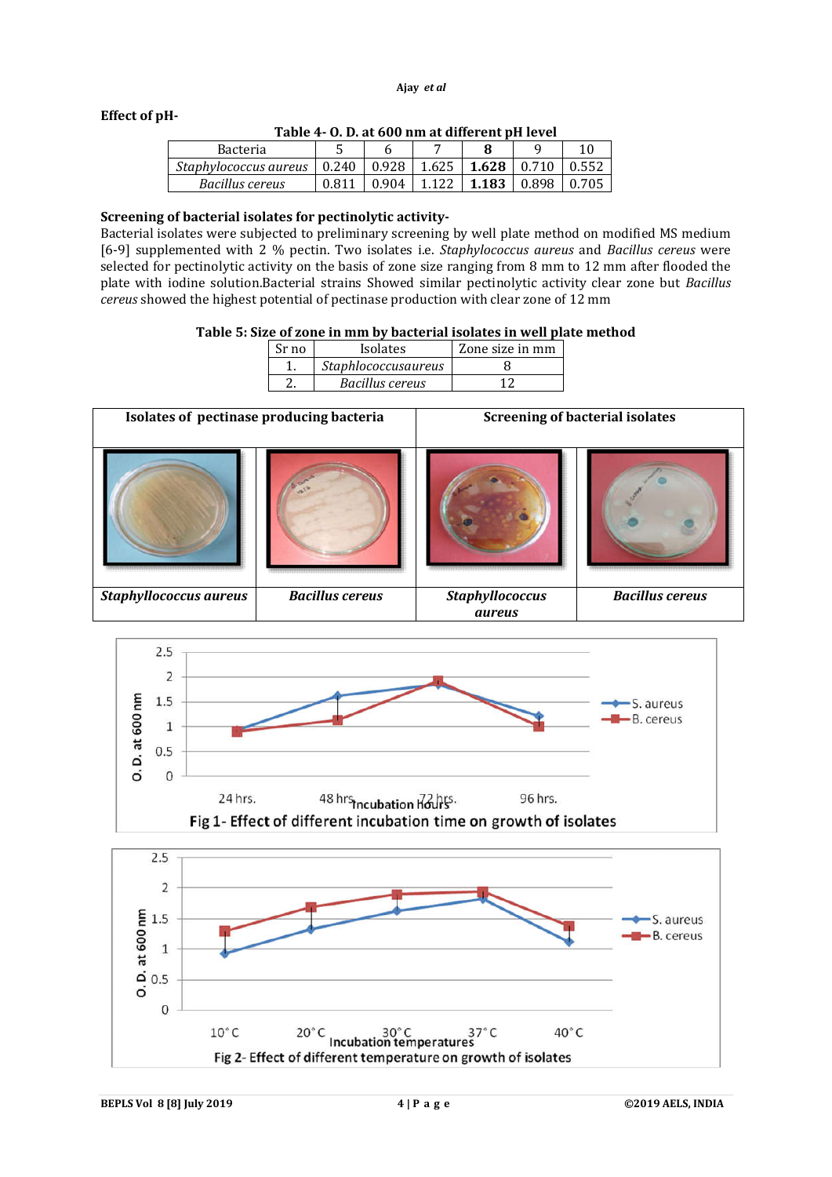#### **Effect of pH-**

| Table 4- O. D. at 600 nm at different pH level |
|------------------------------------------------|
|------------------------------------------------|

| <b>Bacteria</b>       | ັ                 |       |                 |       |       |       |
|-----------------------|-------------------|-------|-----------------|-------|-------|-------|
| Staphylococcus aureus | $\mid 0.240 \mid$ |       | $0.928$   1.625 | 1.628 | 0.710 | 0.552 |
| Bacillus cereus       | 0.811             | 0.904 | $+1.122$        | 1.183 | 0.898 | 0.705 |

#### **Screening of bacterial isolates for pectinolytic activity-**

Bacterial isolates were subjected to preliminary screening by well plate method on modified MS medium [6-9] supplemented with 2 % pectin. Two isolates i.e. *Staphylococcus aureus* and *Bacillus cereus* were selected for pectinolytic activity on the basis of zone size ranging from 8 mm to 12 mm after flooded the plate with iodine solution.Bacterial strains Showed similar pectinolytic activity clear zone but *Bacillus cereus* showed the highest potential of pectinase production with clear zone of 12 mm

#### **Table 5: Size of zone in mm by bacterial isolates in well plate method**

| Sr no | <b>Isolates</b>     | Zone size in mm |
|-------|---------------------|-----------------|
|       | Staphlococcusaureus |                 |
|       | Bacillus cereus     |                 |